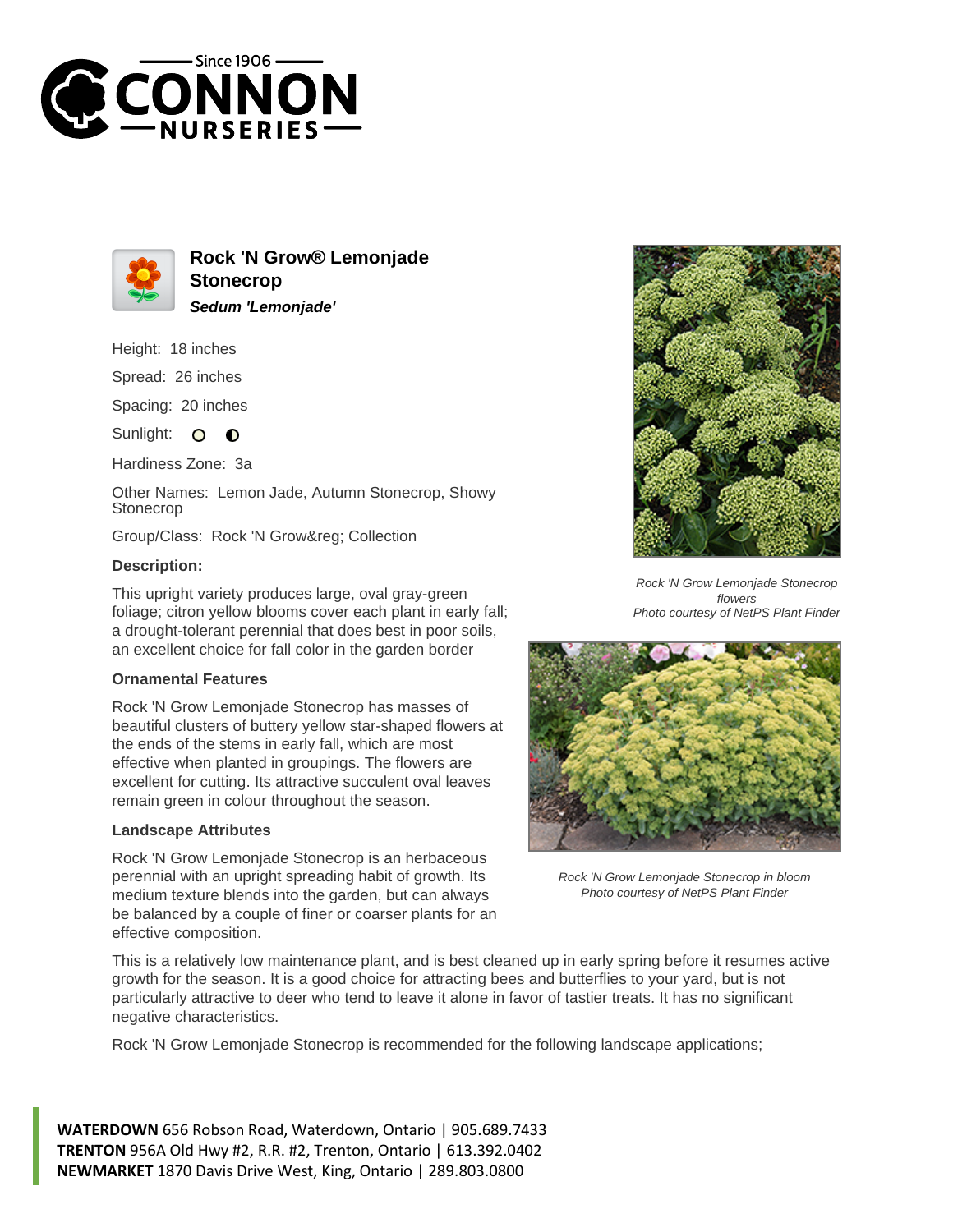



**Rock 'N Grow® Lemonjade Stonecrop Sedum 'Lemonjade'**

Height: 18 inches

Spread: 26 inches

Spacing: 20 inches

Sunlight: O  $\bullet$ 

Hardiness Zone: 3a

Other Names: Lemon Jade, Autumn Stonecrop, Showy Stonecrop

Group/Class: Rock 'N Grow® Collection

## **Description:**

This upright variety produces large, oval gray-green foliage; citron yellow blooms cover each plant in early fall; a drought-tolerant perennial that does best in poor soils, an excellent choice for fall color in the garden border

## **Ornamental Features**

Rock 'N Grow Lemonjade Stonecrop has masses of beautiful clusters of buttery yellow star-shaped flowers at the ends of the stems in early fall, which are most effective when planted in groupings. The flowers are excellent for cutting. Its attractive succulent oval leaves remain green in colour throughout the season.

## **Landscape Attributes**

Rock 'N Grow Lemonjade Stonecrop is an herbaceous perennial with an upright spreading habit of growth. Its medium texture blends into the garden, but can always be balanced by a couple of finer or coarser plants for an effective composition.



Rock 'N Grow Lemonjade Stonecrop flowers Photo courtesy of NetPS Plant Finder



Rock 'N Grow Lemonjade Stonecrop in bloom Photo courtesy of NetPS Plant Finder

This is a relatively low maintenance plant, and is best cleaned up in early spring before it resumes active growth for the season. It is a good choice for attracting bees and butterflies to your yard, but is not particularly attractive to deer who tend to leave it alone in favor of tastier treats. It has no significant negative characteristics.

Rock 'N Grow Lemonjade Stonecrop is recommended for the following landscape applications;

**WATERDOWN** 656 Robson Road, Waterdown, Ontario | 905.689.7433 **TRENTON** 956A Old Hwy #2, R.R. #2, Trenton, Ontario | 613.392.0402 **NEWMARKET** 1870 Davis Drive West, King, Ontario | 289.803.0800